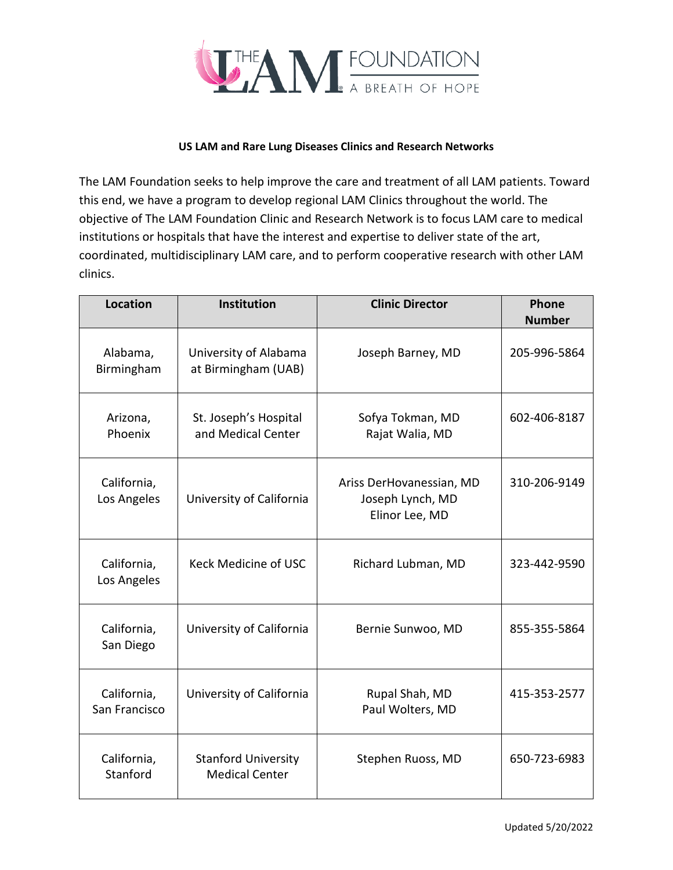

## **US LAM and Rare Lung Diseases Clinics and Research Networks**

The LAM Foundation seeks to help improve the care and treatment of all LAM patients. Toward this end, we have a program to develop regional LAM Clinics throughout the world. The objective of The LAM Foundation Clinic and Research Network is to focus LAM care to medical institutions or hospitals that have the interest and expertise to deliver state of the art, coordinated, multidisciplinary LAM care, and to perform cooperative research with other LAM clinics.

| <b>Location</b>              | <b>Institution</b>                                  | <b>Clinic Director</b>                                         | Phone<br><b>Number</b> |
|------------------------------|-----------------------------------------------------|----------------------------------------------------------------|------------------------|
| Alabama,<br>Birmingham       | University of Alabama<br>at Birmingham (UAB)        | Joseph Barney, MD                                              | 205-996-5864           |
| Arizona,<br>Phoenix          | St. Joseph's Hospital<br>and Medical Center         | Sofya Tokman, MD<br>Rajat Walia, MD                            | 602-406-8187           |
| California,<br>Los Angeles   | University of California                            | Ariss DerHovanessian, MD<br>Joseph Lynch, MD<br>Elinor Lee, MD | 310-206-9149           |
| California,<br>Los Angeles   | Keck Medicine of USC                                | Richard Lubman, MD                                             | 323-442-9590           |
| California,<br>San Diego     | University of California                            | Bernie Sunwoo, MD                                              | 855-355-5864           |
| California,<br>San Francisco | University of California                            | Rupal Shah, MD<br>Paul Wolters, MD                             | 415-353-2577           |
| California,<br>Stanford      | <b>Stanford University</b><br><b>Medical Center</b> | Stephen Ruoss, MD                                              | 650-723-6983           |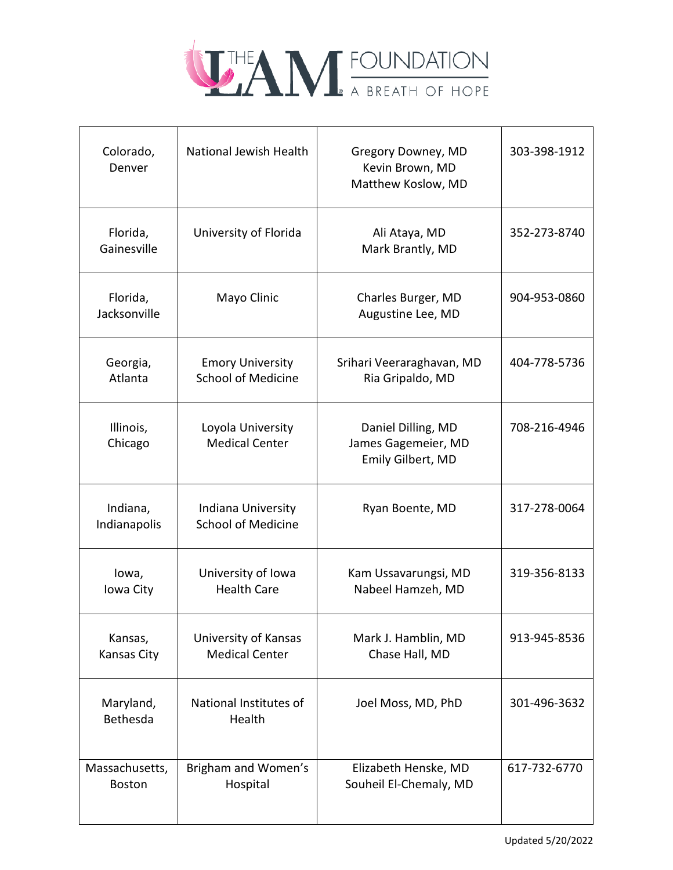

| Colorado,<br>Denver             | National Jewish Health                               | Gregory Downey, MD<br>Kevin Brown, MD<br>Matthew Koslow, MD    | 303-398-1912 |
|---------------------------------|------------------------------------------------------|----------------------------------------------------------------|--------------|
| Florida,<br>Gainesville         | University of Florida                                | Ali Ataya, MD<br>Mark Brantly, MD                              | 352-273-8740 |
| Florida,<br>Jacksonville        | Mayo Clinic                                          | Charles Burger, MD<br>Augustine Lee, MD                        | 904-953-0860 |
| Georgia,<br>Atlanta             | <b>Emory University</b><br><b>School of Medicine</b> | Srihari Veeraraghavan, MD<br>Ria Gripaldo, MD                  | 404-778-5736 |
| Illinois,<br>Chicago            | Loyola University<br><b>Medical Center</b>           | Daniel Dilling, MD<br>James Gagemeier, MD<br>Emily Gilbert, MD | 708-216-4946 |
| Indiana,<br>Indianapolis        | Indiana University<br><b>School of Medicine</b>      | Ryan Boente, MD                                                | 317-278-0064 |
| lowa,<br>Iowa City              | University of Iowa<br><b>Health Care</b>             | Kam Ussavarungsi, MD<br>Nabeel Hamzeh, MD                      | 319-356-8133 |
| Kansas,<br>Kansas City          | University of Kansas<br><b>Medical Center</b>        | Mark J. Hamblin, MD<br>Chase Hall, MD                          | 913-945-8536 |
| Maryland,<br>Bethesda           | National Institutes of<br>Health                     | Joel Moss, MD, PhD                                             | 301-496-3632 |
| Massachusetts,<br><b>Boston</b> | Brigham and Women's<br>Hospital                      | Elizabeth Henske, MD<br>Souheil El-Chemaly, MD                 | 617-732-6770 |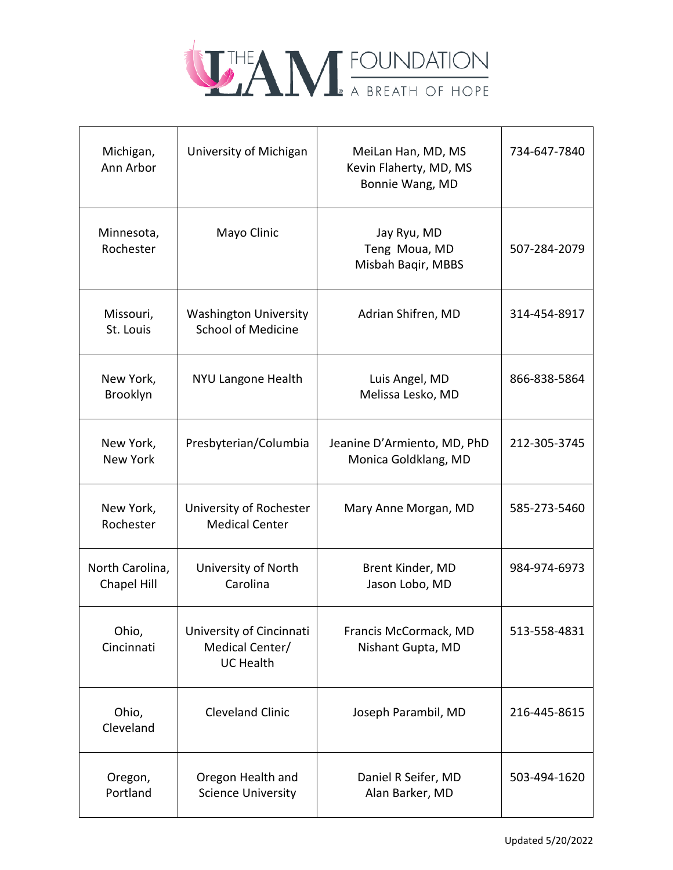

| Michigan,<br>Ann Arbor         | University of Michigan                                          | MeiLan Han, MD, MS<br>Kevin Flaherty, MD, MS<br>Bonnie Wang, MD | 734-647-7840 |
|--------------------------------|-----------------------------------------------------------------|-----------------------------------------------------------------|--------------|
| Minnesota,<br>Rochester        | Mayo Clinic                                                     | Jay Ryu, MD<br>Teng Moua, MD<br>Misbah Baqir, MBBS              | 507-284-2079 |
| Missouri,<br>St. Louis         | <b>Washington University</b><br><b>School of Medicine</b>       | Adrian Shifren, MD                                              | 314-454-8917 |
| New York,<br>Brooklyn          | <b>NYU Langone Health</b>                                       | Luis Angel, MD<br>Melissa Lesko, MD                             | 866-838-5864 |
| New York,<br><b>New York</b>   | Presbyterian/Columbia                                           | Jeanine D'Armiento, MD, PhD<br>Monica Goldklang, MD             | 212-305-3745 |
| New York,<br>Rochester         | University of Rochester<br><b>Medical Center</b>                | Mary Anne Morgan, MD                                            | 585-273-5460 |
| North Carolina,<br>Chapel Hill | University of North<br>Carolina                                 | Brent Kinder, MD<br>Jason Lobo, MD                              | 984-974-6973 |
| Ohio,<br>Cincinnati            | University of Cincinnati<br>Medical Center/<br><b>UC Health</b> | Francis McCormack, MD<br>Nishant Gupta, MD                      | 513-558-4831 |
| Ohio,<br>Cleveland             | <b>Cleveland Clinic</b>                                         | Joseph Parambil, MD                                             | 216-445-8615 |
| Oregon,<br>Portland            | Oregon Health and<br><b>Science University</b>                  | Daniel R Seifer, MD<br>Alan Barker, MD                          | 503-494-1620 |